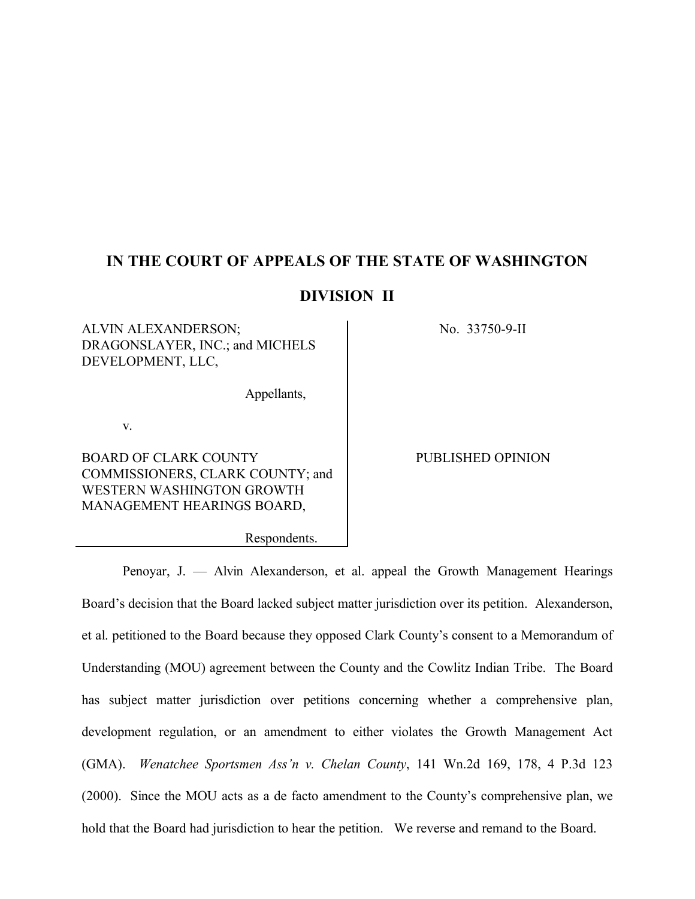# **IN THE COURT OF APPEALS OF THE STATE OF WASHINGTON**

# **DIVISION II**

ALVIN ALEXANDERSON; DRAGONSLAYER, INC.; and MICHELS DEVELOPMENT, LLC,

Appellants,

Respondents.

v.

BOARD OF CLARK COUNTY COMMISSIONERS, CLARK COUNTY; and WESTERN WASHINGTON GROWTH MANAGEMENT HEARINGS BOARD,

No. 33750-9-II

PUBLISHED OPINION

Penoyar, J. — Alvin Alexanderson, et al. appeal the Growth Management Hearings Board's decision that the Board lacked subject matter jurisdiction over its petition. Alexanderson, et al. petitioned to the Board because they opposed Clark County's consent to a Memorandum of Understanding (MOU) agreement between the County and the Cowlitz Indian Tribe. The Board has subject matter jurisdiction over petitions concerning whether a comprehensive plan, development regulation, or an amendment to either violates the Growth Management Act (GMA). *Wenatchee Sportsmen Ass'n v. Chelan County*, 141 Wn.2d 169, 178, 4 P.3d 123 (2000). Since the MOU acts as a de facto amendment to the County's comprehensive plan, we hold that the Board had jurisdiction to hear the petition. We reverse and remand to the Board.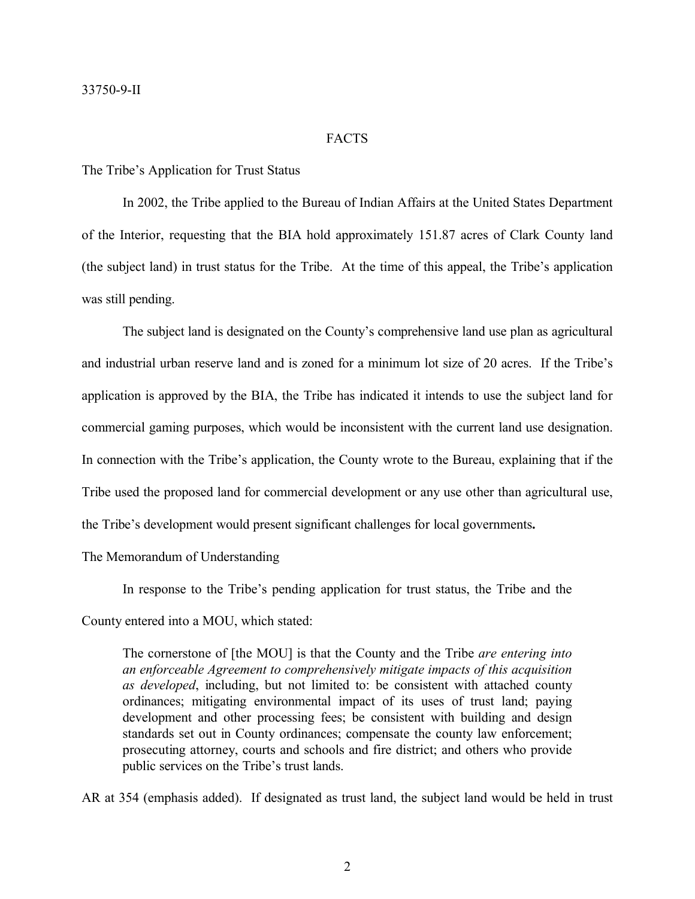### FACTS

#### The Tribe's Application for Trust Status

In 2002, the Tribe applied to the Bureau of Indian Affairs at the United States Department of the Interior, requesting that the BIA hold approximately 151.87 acres of Clark County land (the subject land) in trust status for the Tribe. At the time of this appeal, the Tribe's application was still pending.

The subject land is designated on the County's comprehensive land use plan as agricultural and industrial urban reserve land and is zoned for a minimum lot size of 20 acres. If the Tribe's application is approved by the BIA, the Tribe has indicated it intends to use the subject land for commercial gaming purposes, which would be inconsistent with the current land use designation. In connection with the Tribe's application, the County wrote to the Bureau, explaining that if the Tribe used the proposed land for commercial development or any use other than agricultural use, the Tribe's development would present significant challenges for local governments**.**

The Memorandum of Understanding

In response to the Tribe's pending application for trust status, the Tribe and the County entered into a MOU, which stated:

The cornerstone of [the MOU] is that the County and the Tribe *are entering into an enforceable Agreement to comprehensively mitigate impacts of this acquisition as developed*, including, but not limited to: be consistent with attached county ordinances; mitigating environmental impact of its uses of trust land; paying development and other processing fees; be consistent with building and design standards set out in County ordinances; compensate the county law enforcement; prosecuting attorney, courts and schools and fire district; and others who provide public services on the Tribe's trust lands.

AR at 354 (emphasis added). If designated as trust land, the subject land would be held in trust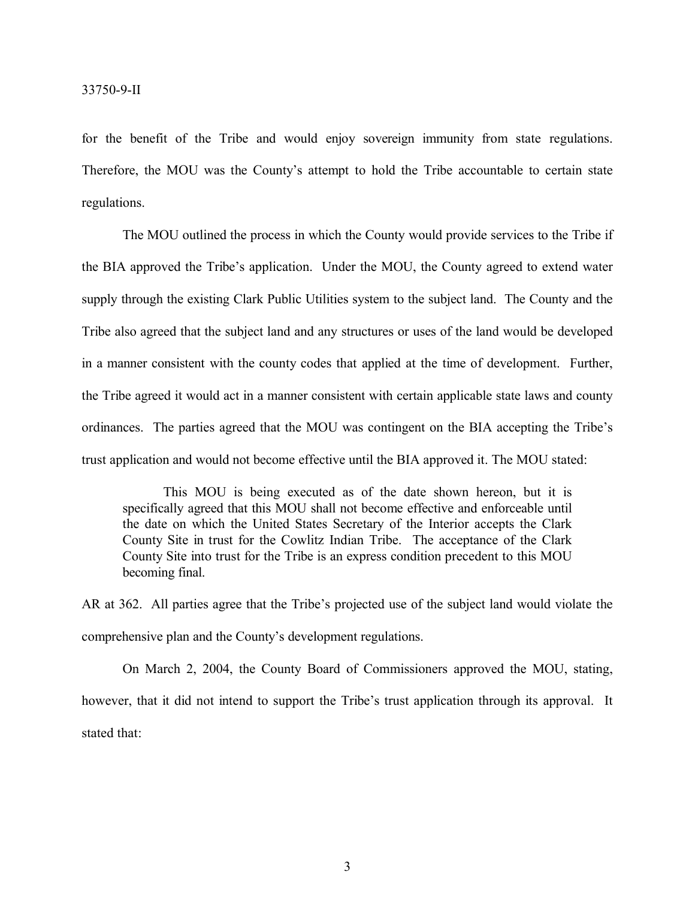for the benefit of the Tribe and would enjoy sovereign immunity from state regulations. Therefore, the MOU was the County's attempt to hold the Tribe accountable to certain state regulations.

The MOU outlined the process in which the County would provide services to the Tribe if the BIA approved the Tribe's application. Under the MOU, the County agreed to extend water supply through the existing Clark Public Utilities system to the subject land. The County and the Tribe also agreed that the subject land and any structures or uses of the land would be developed in a manner consistent with the county codes that applied at the time of development. Further, the Tribe agreed it would act in a manner consistent with certain applicable state laws and county ordinances. The parties agreed that the MOU was contingent on the BIA accepting the Tribe's trust application and would not become effective until the BIA approved it. The MOU stated:

This MOU is being executed as of the date shown hereon, but it is specifically agreed that this MOU shall not become effective and enforceable until the date on which the United States Secretary of the Interior accepts the Clark County Site in trust for the Cowlitz Indian Tribe. The acceptance of the Clark County Site into trust for the Tribe is an express condition precedent to this MOU becoming final.

AR at 362. All parties agree that the Tribe's projected use of the subject land would violate the comprehensive plan and the County's development regulations.

On March 2, 2004, the County Board of Commissioners approved the MOU, stating, however, that it did not intend to support the Tribe's trust application through its approval. It stated that: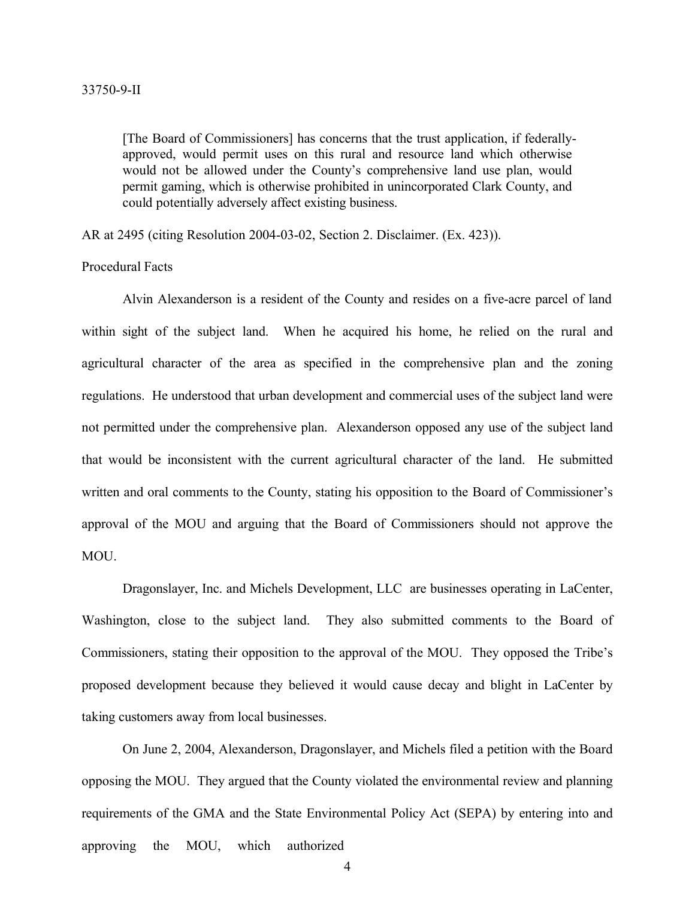[The Board of Commissioners] has concerns that the trust application, if federallyapproved, would permit uses on this rural and resource land which otherwise would not be allowed under the County's comprehensive land use plan, would permit gaming, which is otherwise prohibited in unincorporated Clark County, and could potentially adversely affect existing business.

AR at 2495 (citing Resolution 2004-03-02, Section 2. Disclaimer. (Ex. 423)).

Procedural Facts

Alvin Alexanderson is a resident of the County and resides on a five-acre parcel of land within sight of the subject land. When he acquired his home, he relied on the rural and agricultural character of the area as specified in the comprehensive plan and the zoning regulations. He understood that urban development and commercial uses of the subject land were not permitted under the comprehensive plan. Alexanderson opposed any use of the subject land that would be inconsistent with the current agricultural character of the land. He submitted written and oral comments to the County, stating his opposition to the Board of Commissioner's approval of the MOU and arguing that the Board of Commissioners should not approve the MOU.

Dragonslayer, Inc. and Michels Development, LLC are businesses operating in LaCenter, Washington, close to the subject land. They also submitted comments to the Board of Commissioners, stating their opposition to the approval of the MOU. They opposed the Tribe's proposed development because they believed it would cause decay and blight in LaCenter by taking customers away from local businesses.

On June 2, 2004, Alexanderson, Dragonslayer, and Michels filed a petition with the Board opposing the MOU. They argued that the County violated the environmental review and planning requirements of the GMA and the State Environmental Policy Act (SEPA) by entering into and approving the MOU, which authorized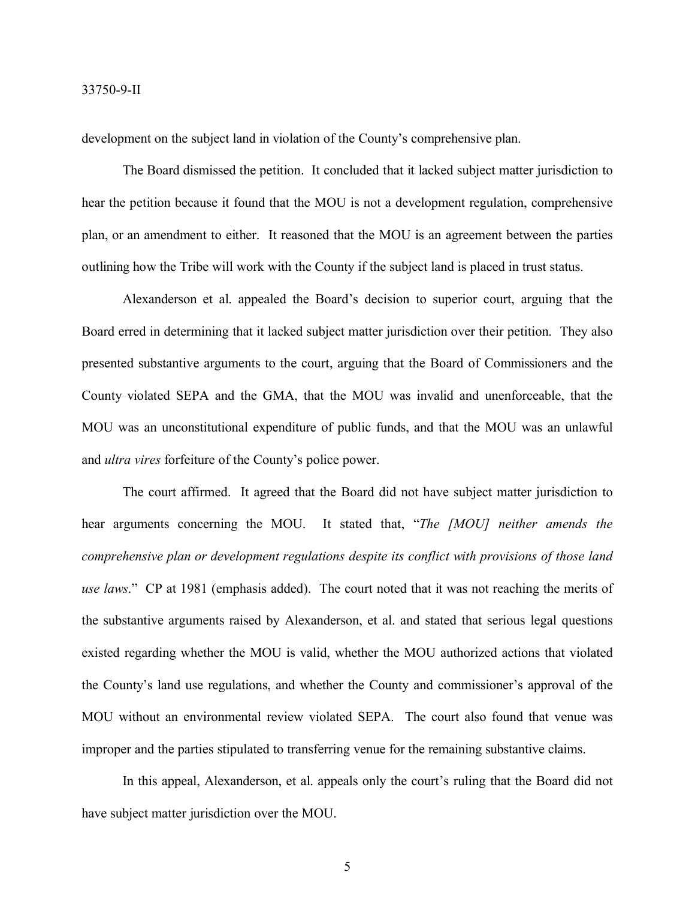development on the subject land in violation of the County's comprehensive plan.

The Board dismissed the petition. It concluded that it lacked subject matter jurisdiction to hear the petition because it found that the MOU is not a development regulation, comprehensive plan, or an amendment to either. It reasoned that the MOU is an agreement between the parties outlining how the Tribe will work with the County if the subject land is placed in trust status.

Alexanderson et al. appealed the Board's decision to superior court, arguing that the Board erred in determining that it lacked subject matter jurisdiction over their petition. They also presented substantive arguments to the court, arguing that the Board of Commissioners and the County violated SEPA and the GMA, that the MOU was invalid and unenforceable, that the MOU was an unconstitutional expenditure of public funds, and that the MOU was an unlawful and *ultra vires* forfeiture of the County's police power.

The court affirmed. It agreed that the Board did not have subject matter jurisdiction to hear arguments concerning the MOU. It stated that, "*The [MOU] neither amends the comprehensive plan or development regulations despite its conflict with provisions of those land use laws*." CP at 1981 (emphasis added). The court noted that it was not reaching the merits of the substantive arguments raised by Alexanderson, et al. and stated that serious legal questions existed regarding whether the MOU is valid, whether the MOU authorized actions that violated the County's land use regulations, and whether the County and commissioner's approval of the MOU without an environmental review violated SEPA. The court also found that venue was improper and the parties stipulated to transferring venue for the remaining substantive claims.

In this appeal, Alexanderson, et al. appeals only the court's ruling that the Board did not have subject matter jurisdiction over the MOU.

5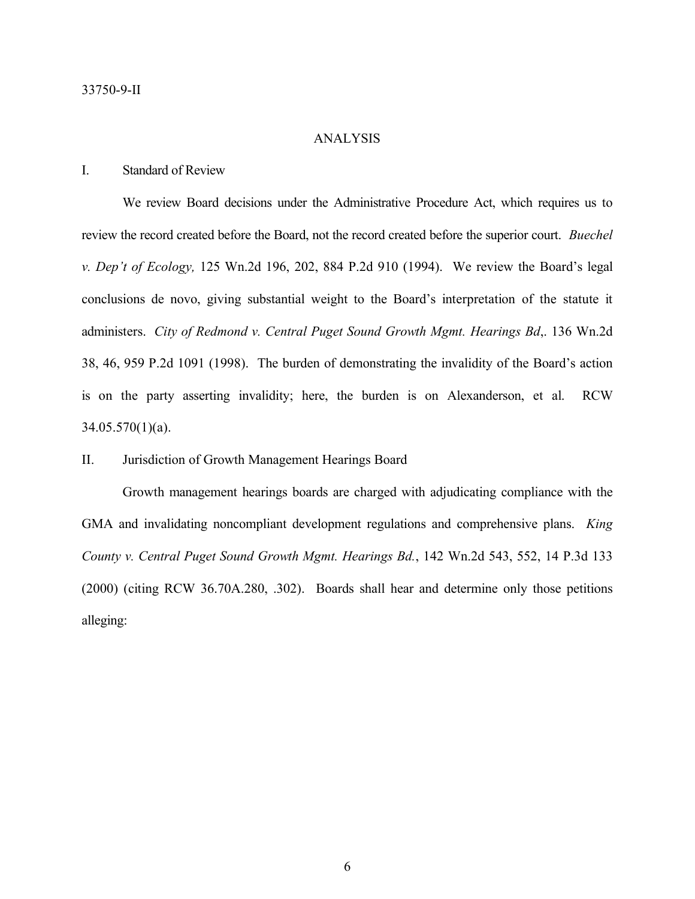#### ANALYSIS

## I. Standard of Review

We review Board decisions under the Administrative Procedure Act, which requires us to review the record created before the Board, not the record created before the superior court. *Buechel v. Dep't of Ecology,* 125 Wn.2d 196, 202, 884 P.2d 910 (1994). We review the Board's legal conclusions de novo, giving substantial weight to the Board's interpretation of the statute it administers. *City of Redmond v. Central Puget Sound Growth Mgmt. Hearings Bd*,. 136 Wn.2d 38, 46, 959 P.2d 1091 (1998). The burden of demonstrating the invalidity of the Board's action is on the party asserting invalidity; here, the burden is on Alexanderson, et al. RCW 34.05.570(1)(a).

### II. Jurisdiction of Growth Management Hearings Board

Growth management hearings boards are charged with adjudicating compliance with the GMA and invalidating noncompliant development regulations and comprehensive plans. *King County v. Central Puget Sound Growth Mgmt. Hearings Bd.*, 142 Wn.2d 543, 552, 14 P.3d 133 (2000) (citing RCW 36.70A.280, .302). Boards shall hear and determine only those petitions alleging: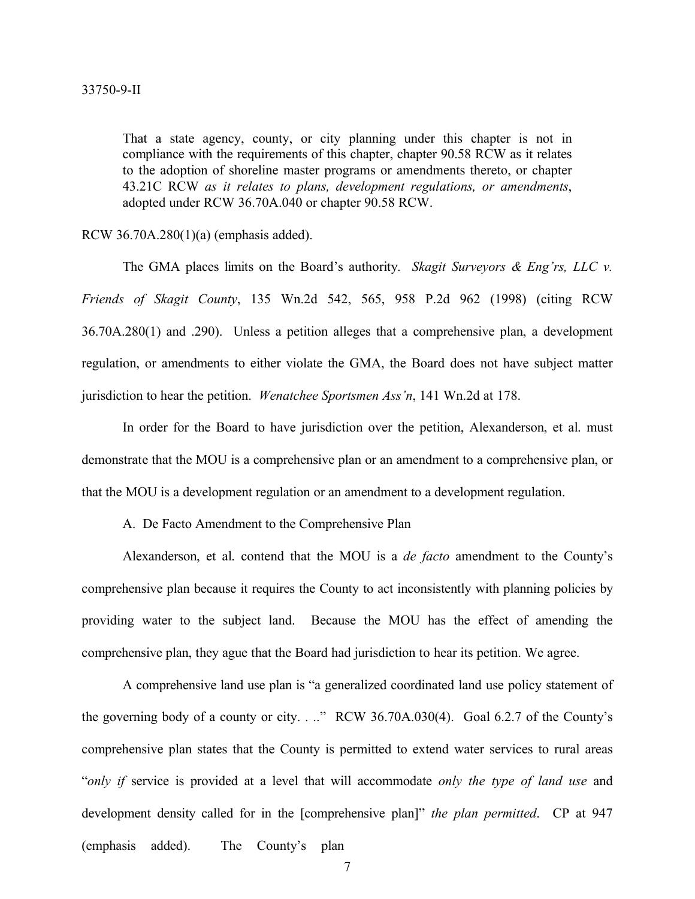That a state agency, county, or city planning under this chapter is not in compliance with the requirements of this chapter, chapter 90.58 RCW as it relates to the adoption of shoreline master programs or amendments thereto, or chapter 43.21C RCW *as it relates to plans, development regulations, or amendments*, adopted under RCW 36.70A.040 or chapter 90.58 RCW.

#### RCW 36.70A.280(1)(a) (emphasis added).

The GMA places limits on the Board's authority. *Skagit Surveyors & Eng'rs, LLC v. Friends of Skagit County*, 135 Wn.2d 542, 565, 958 P.2d 962 (1998) (citing RCW 36.70A.280(1) and .290). Unless a petition alleges that a comprehensive plan, a development regulation, or amendments to either violate the GMA, the Board does not have subject matter jurisdiction to hear the petition. *Wenatchee Sportsmen Ass'n*, 141 Wn.2d at 178.

In order for the Board to have jurisdiction over the petition, Alexanderson, et al. must demonstrate that the MOU is a comprehensive plan or an amendment to a comprehensive plan, or that the MOU is a development regulation or an amendment to a development regulation.

A. De Facto Amendment to the Comprehensive Plan

Alexanderson, et al. contend that the MOU is a *de facto* amendment to the County's comprehensive plan because it requires the County to act inconsistently with planning policies by providing water to the subject land. Because the MOU has the effect of amending the comprehensive plan, they ague that the Board had jurisdiction to hear its petition. We agree.

A comprehensive land use plan is "a generalized coordinated land use policy statement of the governing body of a county or city. . .." RCW 36.70A.030(4). Goal 6.2.7 of the County's comprehensive plan states that the County is permitted to extend water services to rural areas "*only if* service is provided at a level that will accommodate *only the type of land use* and development density called for in the [comprehensive plan]" *the plan permitted*. CP at 947 (emphasis added). The County's plan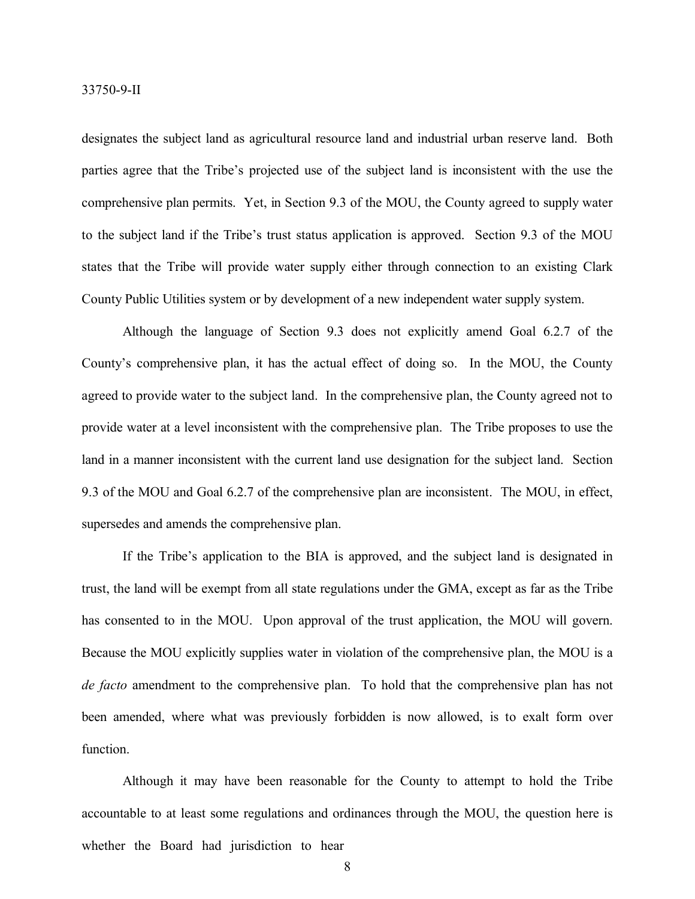designates the subject land as agricultural resource land and industrial urban reserve land. Both parties agree that the Tribe's projected use of the subject land is inconsistent with the use the comprehensive plan permits. Yet, in Section 9.3 of the MOU, the County agreed to supply water to the subject land if the Tribe's trust status application is approved. Section 9.3 of the MOU states that the Tribe will provide water supply either through connection to an existing Clark County Public Utilities system or by development of a new independent water supply system.

Although the language of Section 9.3 does not explicitly amend Goal 6.2.7 of the County's comprehensive plan, it has the actual effect of doing so. In the MOU, the County agreed to provide water to the subject land. In the comprehensive plan, the County agreed not to provide water at a level inconsistent with the comprehensive plan. The Tribe proposes to use the land in a manner inconsistent with the current land use designation for the subject land. Section 9.3 of the MOU and Goal 6.2.7 of the comprehensive plan are inconsistent. The MOU, in effect, supersedes and amends the comprehensive plan.

If the Tribe's application to the BIA is approved, and the subject land is designated in trust, the land will be exempt from all state regulations under the GMA, except as far as the Tribe has consented to in the MOU. Upon approval of the trust application, the MOU will govern. Because the MOU explicitly supplies water in violation of the comprehensive plan, the MOU is a *de facto* amendment to the comprehensive plan. To hold that the comprehensive plan has not been amended, where what was previously forbidden is now allowed, is to exalt form over function.

Although it may have been reasonable for the County to attempt to hold the Tribe accountable to at least some regulations and ordinances through the MOU, the question here is whether the Board had jurisdiction to hear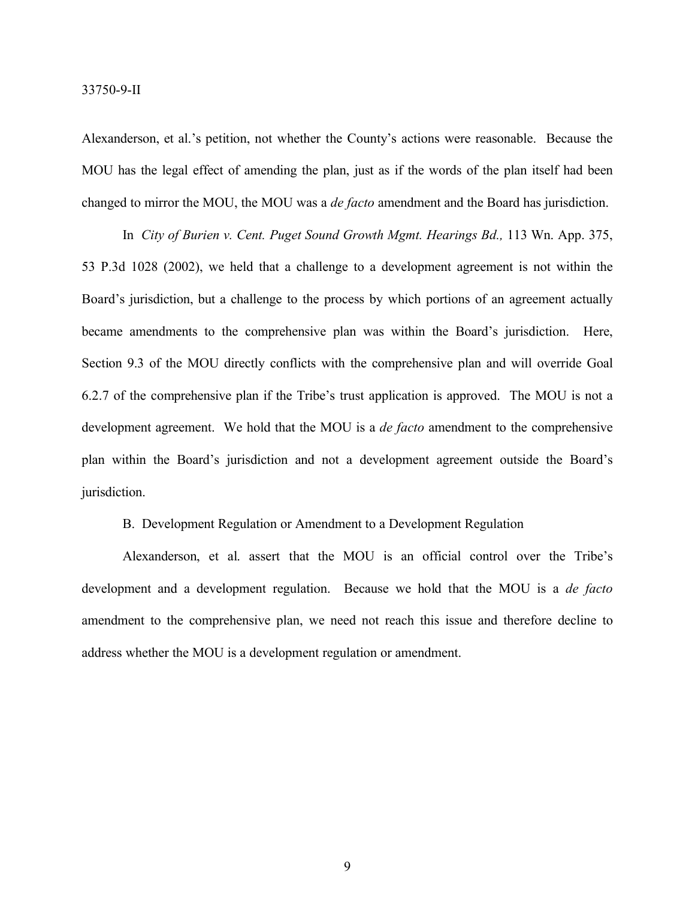Alexanderson, et al.'s petition, not whether the County's actions were reasonable. Because the MOU has the legal effect of amending the plan, just as if the words of the plan itself had been changed to mirror the MOU, the MOU was a *de facto* amendment and the Board has jurisdiction.

In *City of Burien v. Cent. Puget Sound Growth Mgmt. Hearings Bd.,* 113 Wn. App. 375, 53 P.3d 1028 (2002), we held that a challenge to a development agreement is not within the Board's jurisdiction, but a challenge to the process by which portions of an agreement actually became amendments to the comprehensive plan was within the Board's jurisdiction. Here, Section 9.3 of the MOU directly conflicts with the comprehensive plan and will override Goal 6.2.7 of the comprehensive plan if the Tribe's trust application is approved. The MOU is not a development agreement. We hold that the MOU is a *de facto* amendment to the comprehensive plan within the Board's jurisdiction and not a development agreement outside the Board's jurisdiction.

B. Development Regulation or Amendment to a Development Regulation

Alexanderson, et al. assert that the MOU is an official control over the Tribe's development and a development regulation. Because we hold that the MOU is a *de facto* amendment to the comprehensive plan, we need not reach this issue and therefore decline to address whether the MOU is a development regulation or amendment.